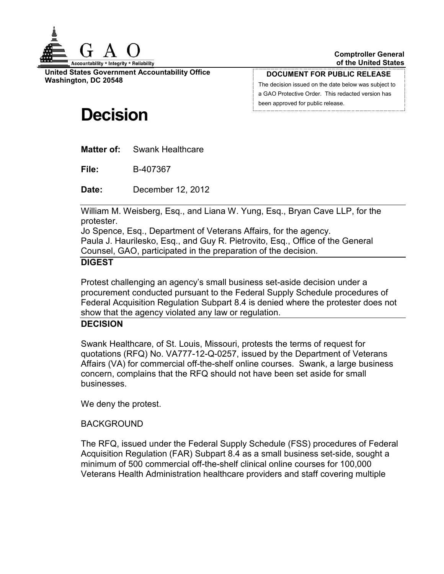

**United States Government Accountability Office Washington, DC 20548**

**DOCUMENT FOR PUBLIC RELEASE**

The decision issued on the date below was subject to a GAO Protective Order. This redacted version has been approved for public release.

# **Decision**

**Matter of:** Swank Healthcare

**File:** B-407367

**Date:** December 12, 2012

William M. Weisberg, Esq., and Liana W. Yung, Esq., Bryan Cave LLP, for the protester.

Jo Spence, Esq., Department of Veterans Affairs, for the agency.

Paula J. Haurilesko, Esq., and Guy R. Pietrovito, Esq., Office of the General Counsel, GAO, participated in the preparation of the decision.

# **DIGEST**

Protest challenging an agency's small business set-aside decision under a procurement conducted pursuant to the Federal Supply Schedule procedures of Federal Acquisition Regulation Subpart 8.4 is denied where the protester does not show that the agency violated any law or regulation.

### **DECISION**

Swank Healthcare, of St. Louis, Missouri, protests the terms of request for quotations (RFQ) No. VA777-12-Q-0257, issued by the Department of Veterans Affairs (VA) for commercial off-the-shelf online courses. Swank, a large business concern, complains that the RFQ should not have been set aside for small businesses.

We deny the protest.

# BACKGROUND

The RFQ, issued under the Federal Supply Schedule (FSS) procedures of Federal Acquisition Regulation (FAR) Subpart 8.4 as a small business set-side, sought a minimum of 500 commercial off-the-shelf clinical online courses for 100,000 Veterans Health Administration healthcare providers and staff covering multiple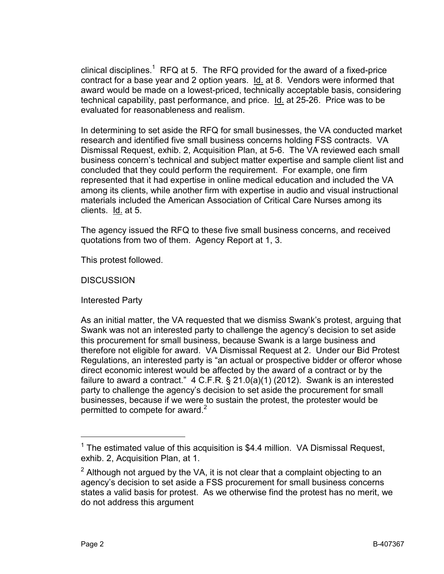clinical disciplines.<sup>1</sup> RFQ at 5. The RFQ provided for the award of a fixed-price contract for a base year and 2 option years. Id. at 8. Vendors were informed that award would be made on a lowest-priced, technically acceptable basis, considering technical capability, past performance, and price. Id. at 25-26. Price was to be evaluated for reasonableness and realism.

In determining to set aside the RFQ for small businesses, the VA conducted market research and identified five small business concerns holding FSS contracts. VA Dismissal Request, exhib. 2, Acquisition Plan, at 5-6. The VA reviewed each small business concern's technical and subject matter expertise and sample client list and concluded that they could perform the requirement. For example, one firm represented that it had expertise in online medical education and included the VA among its clients, while another firm with expertise in audio and visual instructional materials included the American Association of Critical Care Nurses among its clients. Id. at 5.

The agency issued the RFQ to these five small business concerns, and received quotations from two of them. Agency Report at 1, 3.

This protest followed.

**DISCUSSION** 

Interested Party

As an initial matter, the VA requested that we dismiss Swank's protest, arguing that Swank was not an interested party to challenge the agency's decision to set aside this procurement for small business, because Swank is a large business and therefore not eligible for award. VA Dismissal Request at 2. Under our Bid Protest Regulations, an interested party is "an actual or prospective bidder or offeror whose direct economic interest would be affected by the award of a contract or by the failure to award a contract." 4 C.F.R. § 21.0(a)(1) (2012). Swank is an interested party to challenge the agency's decision to set aside the procurement for small businesses, because if we were to sustain the protest, the protester would be permitted to compete for award.<sup>2</sup>

 $\overline{a}$ 

 $1$  The estimated value of this acquisition is \$4.4 million. VA Dismissal Request, exhib. 2, Acquisition Plan, at 1.

 $2$  Although not argued by the VA, it is not clear that a complaint objecting to an agency's decision to set aside a FSS procurement for small business concerns states a valid basis for protest. As we otherwise find the protest has no merit, we do not address this argument